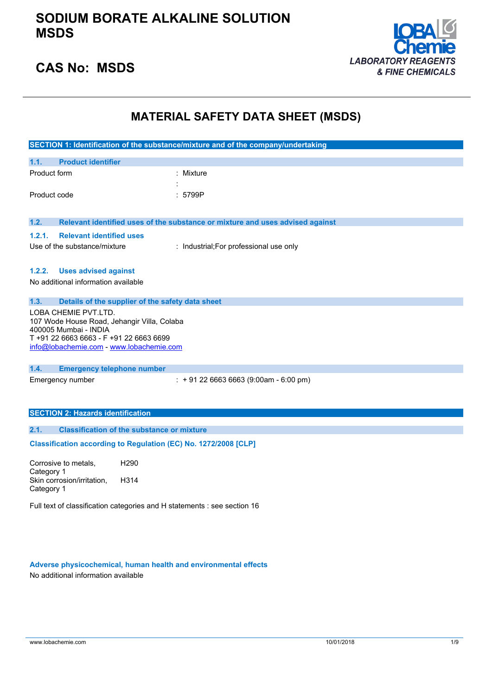

## **CAS No: MSDS**

## **MATERIAL SAFETY DATA SHEET (MSDS)**

|                                                                                                                                                                                     | SECTION 1: Identification of the substance/mixture and of the company/undertaking |  |  |
|-------------------------------------------------------------------------------------------------------------------------------------------------------------------------------------|-----------------------------------------------------------------------------------|--|--|
| 1.1.<br><b>Product identifier</b>                                                                                                                                                   |                                                                                   |  |  |
| Product form                                                                                                                                                                        | : Mixture                                                                         |  |  |
| Product code                                                                                                                                                                        | : 5799P                                                                           |  |  |
| 1.2.                                                                                                                                                                                | Relevant identified uses of the substance or mixture and uses advised against     |  |  |
| 1.2.1.<br><b>Relevant identified uses</b>                                                                                                                                           |                                                                                   |  |  |
| Use of the substance/mixture                                                                                                                                                        | : Industrial; For professional use only                                           |  |  |
| <b>Uses advised against</b><br>1.2.2.<br>No additional information available                                                                                                        |                                                                                   |  |  |
| 1.3.<br>Details of the supplier of the safety data sheet                                                                                                                            |                                                                                   |  |  |
| LOBA CHEMIE PVT.LTD.<br>107 Wode House Road, Jehangir Villa, Colaba<br>400005 Mumbai - INDIA<br>T +91 22 6663 6663 - F +91 22 6663 6699<br>info@lobachemie.com - www.lobachemie.com |                                                                                   |  |  |
| 1.4.<br><b>Emergency telephone number</b>                                                                                                                                           |                                                                                   |  |  |
| Emergency number                                                                                                                                                                    | $: +912266636663(9:00am - 6:00 pm)$                                               |  |  |
| <b>SECTION 2: Hazards identification</b>                                                                                                                                            |                                                                                   |  |  |
| <b>Classification of the substance or mixture</b><br>2.1.                                                                                                                           |                                                                                   |  |  |
| Classification according to Regulation (EC) No. 1272/2008 [CLP]                                                                                                                     |                                                                                   |  |  |
| Corrosive to metals,<br>H <sub>290</sub><br>Category 1                                                                                                                              |                                                                                   |  |  |
| H314<br>Skin corrosion/irritation,<br>Category 1                                                                                                                                    |                                                                                   |  |  |
| Full text of classification categories and H statements : see section 16                                                                                                            |                                                                                   |  |  |

**Adverse physicochemical, human health and environmental effects** No additional information available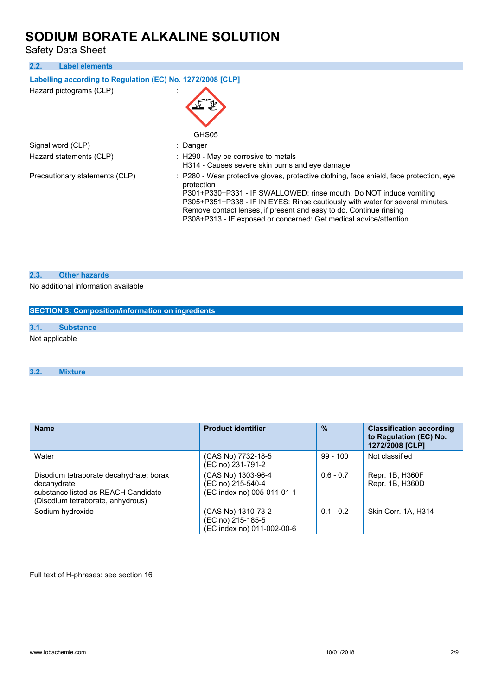Safety Data Sheet

| <b>Label elements</b><br>2.2.                              |                                                                                                                                                                                                                                                                                                                                                                                                         |  |  |  |
|------------------------------------------------------------|---------------------------------------------------------------------------------------------------------------------------------------------------------------------------------------------------------------------------------------------------------------------------------------------------------------------------------------------------------------------------------------------------------|--|--|--|
| Labelling according to Regulation (EC) No. 1272/2008 [CLP] |                                                                                                                                                                                                                                                                                                                                                                                                         |  |  |  |
| Hazard pictograms (CLP)                                    | GHS05                                                                                                                                                                                                                                                                                                                                                                                                   |  |  |  |
| Signal word (CLP)                                          | : Danger                                                                                                                                                                                                                                                                                                                                                                                                |  |  |  |
| Hazard statements (CLP)                                    | : H290 - May be corrosive to metals<br>H314 - Causes severe skin burns and eve damage                                                                                                                                                                                                                                                                                                                   |  |  |  |
| Precautionary statements (CLP)                             | : P280 - Wear protective gloves, protective clothing, face shield, face protection, eye<br>protection<br>P301+P330+P331 - IF SWALLOWED: rinse mouth. Do NOT induce vomiting<br>P305+P351+P338 - IF IN EYES: Rinse cautiously with water for several minutes.<br>Remove contact lenses, if present and easy to do. Continue rinsing<br>P308+P313 - IF exposed or concerned: Get medical advice/attention |  |  |  |

### **2.3. Other hazards**

No additional information available

| SECTION 3: Composition/information on ingredients |                  |  |  |
|---------------------------------------------------|------------------|--|--|
|                                                   |                  |  |  |
| 3.1.                                              | <b>Substance</b> |  |  |
| Not applicable                                    |                  |  |  |
|                                                   |                  |  |  |

### **3.2. Mixture**

| <b>Name</b>                                                                                                                        | <b>Product identifier</b>                                             | $\frac{9}{6}$ | <b>Classification according</b><br>to Regulation (EC) No.<br>1272/2008 [CLP] |
|------------------------------------------------------------------------------------------------------------------------------------|-----------------------------------------------------------------------|---------------|------------------------------------------------------------------------------|
| Water                                                                                                                              | (CAS No) 7732-18-5<br>(EC no) 231-791-2                               | $99 - 100$    | Not classified                                                               |
| Disodium tetraborate decahydrate; borax<br>decahydrate<br>substance listed as REACH Candidate<br>(Disodium tetraborate, anhydrous) | (CAS No) 1303-96-4<br>(EC no) 215-540-4<br>(EC index no) 005-011-01-1 | $0.6 - 0.7$   | Repr. 1B, H360F<br>Repr. 1B, H360D                                           |
| Sodium hydroxide                                                                                                                   | (CAS No) 1310-73-2<br>(EC no) 215-185-5<br>(EC index no) 011-002-00-6 | $0.1 - 0.2$   | Skin Corr. 1A, H314                                                          |

Full text of H-phrases: see section 16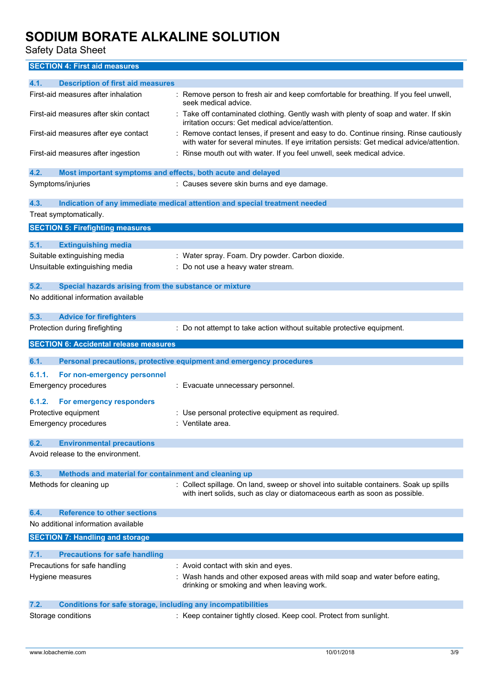Safety Data Sheet

**SECTION 4: First aid measures**

| 4.1.<br><b>Description of first aid measures</b>                                                  |                                                                                                                                                                                   |
|---------------------------------------------------------------------------------------------------|-----------------------------------------------------------------------------------------------------------------------------------------------------------------------------------|
| First-aid measures after inhalation                                                               | Remove person to fresh air and keep comfortable for breathing. If you feel unwell,<br>seek medical advice.                                                                        |
| First-aid measures after skin contact                                                             | : Take off contaminated clothing. Gently wash with plenty of soap and water. If skin<br>irritation occurs: Get medical advice/attention.                                          |
| First-aid measures after eye contact                                                              | Remove contact lenses, if present and easy to do. Continue rinsing. Rinse cautiously<br>with water for several minutes. If eye irritation persists: Get medical advice/attention. |
| First-aid measures after ingestion                                                                | : Rinse mouth out with water. If you feel unwell, seek medical advice.                                                                                                            |
| 4.2.<br>Most important symptoms and effects, both acute and delayed                               |                                                                                                                                                                                   |
| Symptoms/injuries                                                                                 | : Causes severe skin burns and eye damage.                                                                                                                                        |
| 4.3.                                                                                              | Indication of any immediate medical attention and special treatment needed                                                                                                        |
| Treat symptomatically.                                                                            |                                                                                                                                                                                   |
| <b>SECTION 5: Firefighting measures</b>                                                           |                                                                                                                                                                                   |
|                                                                                                   |                                                                                                                                                                                   |
| 5.1.<br><b>Extinguishing media</b>                                                                |                                                                                                                                                                                   |
| Suitable extinguishing media                                                                      | : Water spray. Foam. Dry powder. Carbon dioxide.                                                                                                                                  |
| Unsuitable extinguishing media                                                                    | Do not use a heavy water stream.                                                                                                                                                  |
|                                                                                                   |                                                                                                                                                                                   |
| 5.2.<br>Special hazards arising from the substance or mixture                                     |                                                                                                                                                                                   |
| No additional information available                                                               |                                                                                                                                                                                   |
| 5.3.<br><b>Advice for firefighters</b>                                                            |                                                                                                                                                                                   |
| Protection during firefighting                                                                    | Do not attempt to take action without suitable protective equipment.                                                                                                              |
| <b>SECTION 6: Accidental release measures</b>                                                     |                                                                                                                                                                                   |
|                                                                                                   |                                                                                                                                                                                   |
| 6.1.                                                                                              | Personal precautions, protective equipment and emergency procedures                                                                                                               |
|                                                                                                   |                                                                                                                                                                                   |
| 6.1.1.<br>For non-emergency personnel                                                             |                                                                                                                                                                                   |
| <b>Emergency procedures</b>                                                                       | Evacuate unnecessary personnel.                                                                                                                                                   |
| 6.1.2.<br>For emergency responders                                                                |                                                                                                                                                                                   |
| Protective equipment                                                                              | : Use personal protective equipment as required.                                                                                                                                  |
| <b>Emergency procedures</b>                                                                       | : Ventilate area.                                                                                                                                                                 |
|                                                                                                   |                                                                                                                                                                                   |
| 6.2.<br><b>Environmental precautions</b>                                                          |                                                                                                                                                                                   |
| Avoid release to the environment.                                                                 |                                                                                                                                                                                   |
| Methods and material for containment and cleaning up<br>6.3.                                      |                                                                                                                                                                                   |
| Methods for cleaning up                                                                           | : Collect spillage. On land, sweep or shovel into suitable containers. Soak up spills<br>with inert solids, such as clay or diatomaceous earth as soon as possible.               |
|                                                                                                   |                                                                                                                                                                                   |
| <b>Reference to other sections</b><br>6.4.                                                        |                                                                                                                                                                                   |
| No additional information available                                                               |                                                                                                                                                                                   |
| <b>SECTION 7: Handling and storage</b>                                                            |                                                                                                                                                                                   |
| 7.1.<br><b>Precautions for safe handling</b>                                                      |                                                                                                                                                                                   |
| Precautions for safe handling                                                                     | : Avoid contact with skin and eyes.                                                                                                                                               |
| Hygiene measures                                                                                  | : Wash hands and other exposed areas with mild soap and water before eating,                                                                                                      |
|                                                                                                   | drinking or smoking and when leaving work.                                                                                                                                        |
|                                                                                                   |                                                                                                                                                                                   |
| <b>Conditions for safe storage, including any incompatibilities</b><br>7.2.<br>Storage conditions | : Keep container tightly closed. Keep cool. Protect from sunlight.                                                                                                                |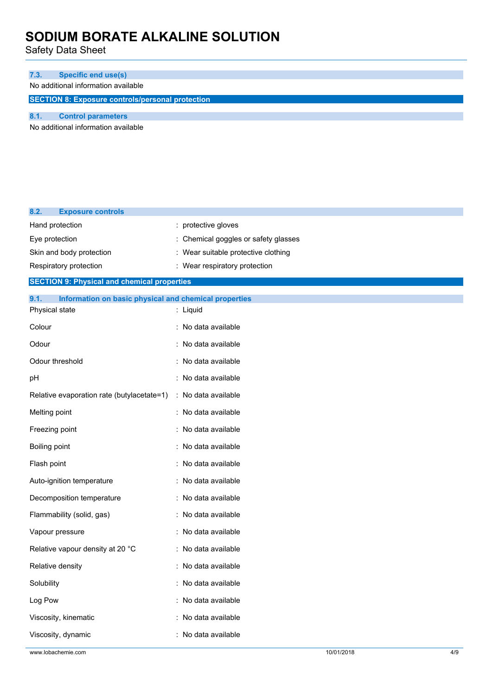Safety Data Sheet

| 7.3.                                                    | <b>Specific end use(s)</b>          |  |  |  |
|---------------------------------------------------------|-------------------------------------|--|--|--|
|                                                         | No additional information available |  |  |  |
| <b>SECTION 8: Exposure controls/personal protection</b> |                                     |  |  |  |
|                                                         |                                     |  |  |  |
|                                                         | <b>Control parameters</b>           |  |  |  |

No additional information available

| 8.2.          | <b>Exposure controls</b>                              |                                      |
|---------------|-------------------------------------------------------|--------------------------------------|
|               | Hand protection                                       | : protective gloves                  |
|               | Eye protection                                        | : Chemical goggles or safety glasses |
|               | Skin and body protection                              | : Wear suitable protective clothing  |
|               | Respiratory protection                                | : Wear respiratory protection        |
|               | <b>SECTION 9: Physical and chemical properties</b>    |                                      |
| 9.1.          | Information on basic physical and chemical properties |                                      |
|               | Physical state                                        | : Liquid                             |
| Colour        |                                                       | : No data available                  |
| Odour         |                                                       | : No data available                  |
|               | Odour threshold                                       | : No data available                  |
| pН            |                                                       | : No data available                  |
|               | Relative evaporation rate (butylacetate=1)            | : No data available                  |
| Melting point |                                                       | : No data available                  |
|               | Freezing point                                        | : No data available                  |
| Boiling point |                                                       | : No data available                  |
| Flash point   |                                                       | : No data available                  |
|               | Auto-ignition temperature                             | : No data available                  |
|               | Decomposition temperature                             | : No data available                  |
|               | Flammability (solid, gas)                             | : No data available                  |
|               | Vapour pressure                                       | : No data available                  |
|               | Relative vapour density at 20 °C                      | : No data available                  |
|               | Relative density                                      | : No data available                  |
| Solubility    |                                                       | : No data available                  |
| Log Pow       |                                                       | : No data available                  |
|               | Viscosity, kinematic                                  | No data available                    |
|               | Viscosity, dynamic                                    | : No data available                  |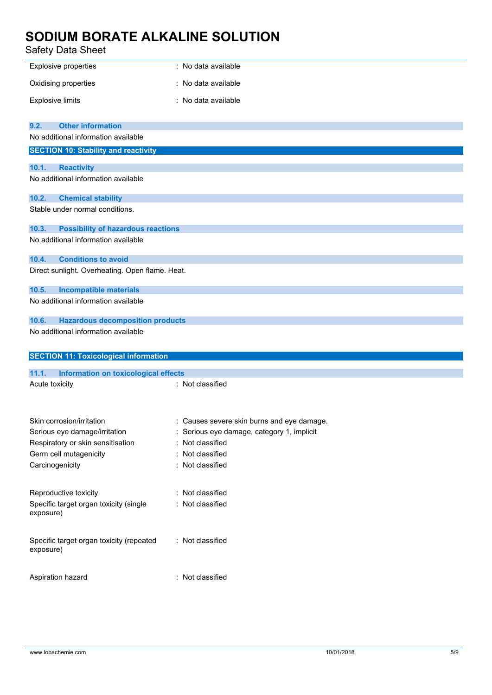### Safety Data Sheet

| salety Data Sheet                                     |                                          |
|-------------------------------------------------------|------------------------------------------|
| <b>Explosive properties</b>                           | : No data available                      |
| Oxidising properties                                  | No data available                        |
| <b>Explosive limits</b>                               | : No data available                      |
| <b>Other information</b><br>9.2.                      |                                          |
| No additional information available                   |                                          |
| <b>SECTION 10: Stability and reactivity</b>           |                                          |
| 10.1.<br><b>Reactivity</b>                            |                                          |
| No additional information available                   |                                          |
| 10.2.<br><b>Chemical stability</b>                    |                                          |
| Stable under normal conditions.                       |                                          |
| <b>Possibility of hazardous reactions</b><br>10.3.    |                                          |
| No additional information available                   |                                          |
| 10.4.<br><b>Conditions to avoid</b>                   |                                          |
| Direct sunlight. Overheating. Open flame. Heat.       |                                          |
| 10.5.<br><b>Incompatible materials</b>                |                                          |
| No additional information available                   |                                          |
| 10.6.<br><b>Hazardous decomposition products</b>      |                                          |
| No additional information available                   |                                          |
| <b>SECTION 11: Toxicological information</b>          |                                          |
| 11.1.<br><b>Information on toxicological effects</b>  |                                          |
| Acute toxicity                                        | : Not classified                         |
|                                                       |                                          |
| Skin corrosion/irritation                             | Causes severe skin burns and eye damage. |
| Serious eye damage/irritation                         | Serious eye damage, category 1, implicit |
| Respiratory or skin sensitisation                     | Not classified                           |
| Germ cell mutagenicity                                | Not classified<br>÷                      |
| Carcinogenicity                                       | Not classified                           |
| Reproductive toxicity                                 | : Not classified                         |
| Specific target organ toxicity (single<br>exposure)   | Not classified                           |
| Specific target organ toxicity (repeated<br>exposure) | : Not classified                         |
| Aspiration hazard                                     | : Not classified                         |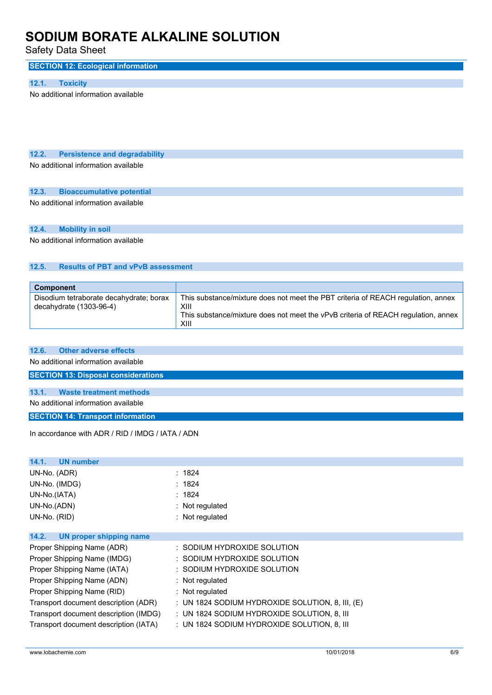Safety Data Sheet

## **SECTION 12: Ecological information**

### **12.1. Toxicity**

No additional information available

## **12.2. Persistence and degradability**

No additional information available

#### **12.3. Bioaccumulative potential**

No additional information available

#### **12.4. Mobility in soil**

No additional information available

### **12.5. Results of PBT and vPvB assessment**

| <b>Component</b>                                                     |                                                                                                                                                                                       |
|----------------------------------------------------------------------|---------------------------------------------------------------------------------------------------------------------------------------------------------------------------------------|
| Disodium tetraborate decahydrate; borax<br>decahydrate $(1303-96-4)$ | This substance/mixture does not meet the PBT criteria of REACH regulation, annex<br>XIII<br>This substance/mixture does not meet the vPvB criteria of REACH regulation, annex<br>XIII |

### **12.6. Other adverse effects**

No additional information available

## **SECTION 13: Disposal considerations**

## **13.1. Waste treatment methods**

No additional information available

## **SECTION 14: Transport information**

In accordance with ADR / RID / IMDG / IATA / ADN

| UN number<br>14.1.                    |                                                    |
|---------------------------------------|----------------------------------------------------|
| UN-No. (ADR)                          | : 1824                                             |
| UN-No. (IMDG)                         | : 1824                                             |
| UN-No.(IATA)                          | : 1824                                             |
| UN-No.(ADN)                           | $:$ Not regulated                                  |
| UN-No. (RID)                          | : Not regulated                                    |
|                                       |                                                    |
| UN proper shipping name<br>14.2.      |                                                    |
| Proper Shipping Name (ADR)            | : SODIUM HYDROXIDE SOLUTION                        |
| Proper Shipping Name (IMDG)           | : SODIUM HYDROXIDE SOLUTION                        |
| Proper Shipping Name (IATA)           | : SODIUM HYDROXIDE SOLUTION                        |
| Proper Shipping Name (ADN)            | : Not regulated                                    |
| Proper Shipping Name (RID)            | $:$ Not regulated                                  |
| Transport document description (ADR)  | : UN 1824 SODIUM HYDROXIDE SOLUTION, 8, III, $(E)$ |
| Transport document description (IMDG) | : UN 1824 SODIUM HYDROXIDE SOLUTION, 8, III        |
| Transport document description (IATA) | : UN 1824 SODIUM HYDROXIDE SOLUTION, 8, III        |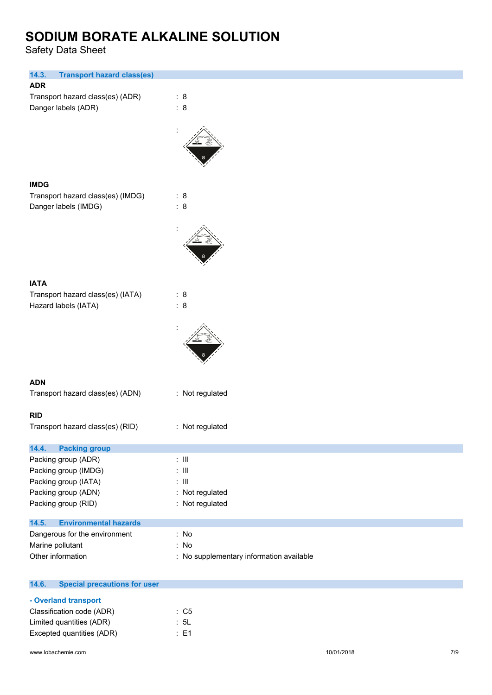Safety Data Sheet

| 14.3.<br><b>Transport hazard class(es)</b>                            |                                          |
|-----------------------------------------------------------------------|------------------------------------------|
| <b>ADR</b><br>Transport hazard class(es) (ADR)<br>Danger labels (ADR) | : 8<br>: 8                               |
|                                                                       |                                          |
| <b>IMDG</b>                                                           |                                          |
| Transport hazard class(es) (IMDG)                                     | : 8                                      |
| Danger labels (IMDG)                                                  | : 8                                      |
|                                                                       |                                          |
|                                                                       |                                          |
| <b>IATA</b>                                                           |                                          |
| Transport hazard class(es) (IATA)                                     | : 8                                      |
| Hazard labels (IATA)                                                  | : 8                                      |
|                                                                       |                                          |
| <b>ADN</b>                                                            |                                          |
| Transport hazard class(es) (ADN)                                      | : Not regulated                          |
|                                                                       |                                          |
| <b>RID</b>                                                            |                                          |
| Transport hazard class(es) (RID)                                      | : Not regulated                          |
| 14.4.<br><b>Packing group</b>                                         |                                          |
| Packing group (ADR)                                                   | $:$ $\mathbb{H}$                         |
| Packing group (IMDG)                                                  | $\therefore$ III                         |
| Packing group (IATA)                                                  | $\therefore$ III                         |
| Packing group (ADN)                                                   | Not regulated<br>t,                      |
| Packing group (RID)                                                   | : Not regulated                          |
| <b>Environmental hazards</b><br>14.5.                                 |                                          |
| Dangerous for the environment                                         | : No                                     |
| Marine pollutant                                                      | : No                                     |
| Other information                                                     | : No supplementary information available |
| <b>Special precautions for user</b><br>14.6.                          |                                          |
| - Overland transport                                                  |                                          |
| Classification code (ADR)                                             | : C5                                     |
| Limited quantities (ADR)                                              | : 5L                                     |

Excepted quantities (ADR) : E1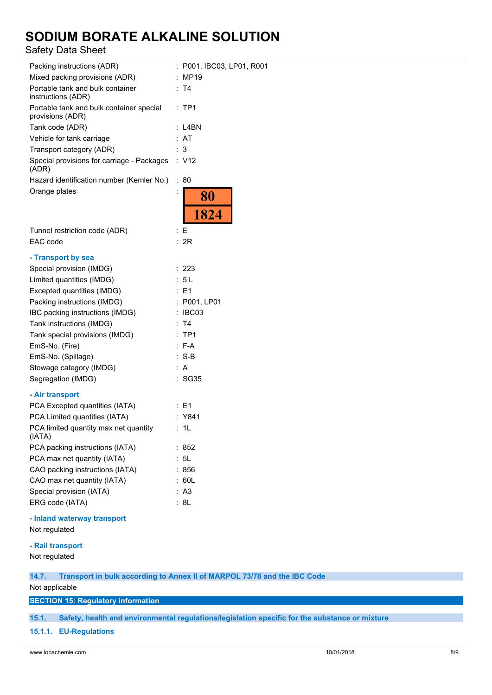## Safety Data Sheet

| Packing instructions (ADR)                                   |                      | P001, IBC03, LP01, R001 |
|--------------------------------------------------------------|----------------------|-------------------------|
| Mixed packing provisions (ADR)                               |                      | MP19                    |
| Portable tank and bulk container<br>instructions (ADR)       |                      | : T4                    |
| Portable tank and bulk container special<br>provisions (ADR) |                      | : TP1                   |
| Tank code (ADR)                                              |                      | : L4BN                  |
| Vehicle for tank carriage                                    |                      | : AT                    |
| Transport category (ADR)                                     |                      | 3                       |
| Special provisions for carriage - Packages<br>(ADR)          |                      | : V12                   |
| Hazard identification number (Kemler No.)                    | ÷                    | 80                      |
| Orange plates                                                | İ                    | 80                      |
|                                                              |                      | 1824                    |
| Tunnel restriction code (ADR)                                |                      | : E                     |
| EAC code                                                     |                      | : 2R                    |
| - Transport by sea                                           |                      |                         |
| Special provision (IMDG)                                     |                      | 223                     |
| Limited quantities (IMDG)                                    |                      | : 5L                    |
| Excepted quantities (IMDG)                                   |                      | : F1                    |
| Packing instructions (IMDG)                                  |                      | : P001, LP01            |
| IBC packing instructions (IMDG)                              |                      | IBC03                   |
| Tank instructions (IMDG)                                     |                      | T4                      |
| Tank special provisions (IMDG)                               | $\ddot{\phantom{0}}$ | TP <sub>1</sub>         |
| EmS-No. (Fire)                                               |                      | $: F-A$                 |
| EmS-No. (Spillage)                                           |                      | :S-B                    |
| Stowage category (IMDG)                                      |                      | A                       |
| Segregation (IMDG)                                           |                      | : SG35                  |
|                                                              |                      |                         |
| - Air transport<br>PCA Excepted quantities (IATA)            |                      | : E1                    |
| PCA Limited quantities (IATA)                                |                      | : Y841                  |
| PCA limited quantity max net quantity                        |                      | 1L                      |
| (IATA)                                                       |                      |                         |
| PCA packing instructions (IATA)                              |                      | : 852                   |
| PCA max net quantity (IATA)                                  |                      | 5L                      |
| CAO packing instructions (IATA)                              |                      | 856                     |
| CAO max net quantity (IATA)                                  |                      | 60L                     |
| Special provision (IATA)                                     |                      | A <sub>3</sub>          |
| ERG code (IATA)                                              |                      | : 8L                    |
|                                                              |                      |                         |

**- Inland waterway transport**

Not regulated

#### **- Rail transport**

Not regulated

### **14.7. Transport in bulk according to Annex II of MARPOL 73/78 and the IBC Code**

Not applicable

### **SECTION 15: Regulatory information**

**15.1. Safety, health and environmental regulations/legislation specific for the substance or mixture**

**15.1.1. EU-Regulations**